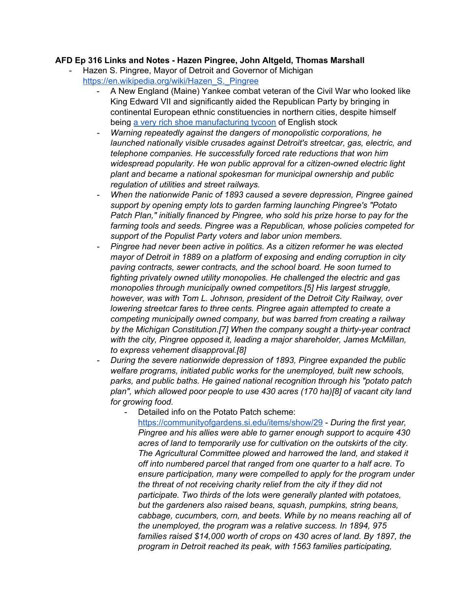## **AFD Ep 316 Links and Notes - Hazen Pingree, John Altgeld, Thomas Marshall**

- Hazen S. Pingree, Mayor of Detroit and Governor of Michigan [https://en.wikipedia.org/wiki/Hazen\\_S.\\_Pingree](https://en.wikipedia.org/wiki/Hazen_S._Pingree)
	- A New England (Maine) Yankee combat veteran of the Civil War who looked like King Edward VII and significantly aided the Republican Party by bringing in continental European ethnic constituencies in northern cities, despite himself being a very rich shoe [manufacturing](https://detroithistorical.org/learn/encyclopedia-of-detroit/pingree-hazen) tycoon of English stock
	- *- Warning repeatedly against the dangers of monopolistic corporations, he launched nationally visible crusades against Detroit's streetcar, gas, electric, and telephone companies. He successfully forced rate reductions that won him widespread popularity. He won public approval for a citizen-owned electric light plant and became a national spokesman for municipal ownership and public regulation of utilities and street railways.*
	- *- When the nationwide Panic of 1893 caused a severe depression, Pingree gained support by opening empty lots to garden farming launching Pingree's "Potato Patch Plan," initially financed by Pingree, who sold his prize horse to pay for the farming tools and seeds. Pingree was a Republican, whose policies competed for support of the Populist Party voters and labor union members.*
	- *- Pingree had never been active in politics. As a citizen reformer he was elected mayor of Detroit in 1889 on a platform of exposing and ending corruption in city paving contracts, sewer contracts, and the school board. He soon turned to fighting privately owned utility monopolies. He challenged the electric and gas monopolies through municipally owned competitors.[5] His largest struggle, however, was with Tom L. Johnson, president of the Detroit City Railway, over lowering streetcar fares to three cents. Pingree again attempted to create a competing municipally owned company, but was barred from creating a railway by the Michigan Constitution.[7] When the company sought a thirty-year contract with the city, Pingree opposed it, leading a major shareholder, James McMillan, to express vehement disapproval.[8]*
	- *- During the severe nationwide depression of 1893, Pingree expanded the public welfare programs, initiated public works for the unemployed, built new schools, parks, and public baths. He gained national recognition through his "potato patch plan", which allowed poor people to use 430 acres (170 ha)[8] of vacant city land for growing food.*
		- Detailed info on the Potato Patch scheme:

<https://communityofgardens.si.edu/items/show/29> - *During the first year, Pingree and his allies were able to garner enough support to acquire 430 acres of land to temporarily use for cultivation on the outskirts of the city. The Agricultural Committee plowed and harrowed the land, and staked it off into numbered parcel that ranged from one quarter to a half acre. To ensure participation, many were compelled to apply for the program under the threat of not receiving charity relief from the city if they did not participate. Two thirds of the lots were generally planted with potatoes, but the gardeners also raised beans, squash, pumpkins, string beans, cabbage, cucumbers, corn, and beets. While by no means reaching all of the unemployed, the program was a relative success. In 1894, 975 families raised \$14,000 worth of crops on 430 acres of land. By 1897, the program in Detroit reached its peak, with 1563 families participating,*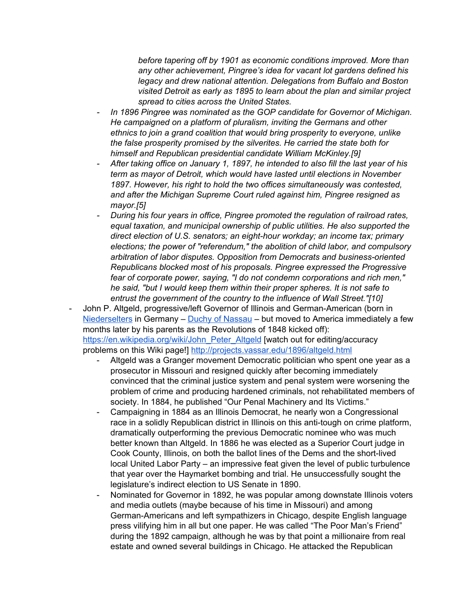*before tapering off by 1901 as economic conditions improved. More than any other achievement, Pingree's idea for vacant lot gardens defined his legacy and drew national attention. Delegations from Buffalo and Boston visited Detroit as early as 1895 to learn about the plan and similar project spread to cities across the United States.*

- *- In 1896 Pingree was nominated as the GOP candidate for Governor of Michigan. He campaigned on a platform of pluralism, inviting the Germans and other ethnics to join a grand coalition that would bring prosperity to everyone, unlike the false prosperity promised by the silverites. He carried the state both for himself and Republican presidential candidate William McKinley.[9]*
- *- After taking office on January 1, 1897, he intended to also fill the last year of his term as mayor of Detroit, which would have lasted until elections in November 1897. However, his right to hold the two offices simultaneously was contested, and after the Michigan Supreme Court ruled against him, Pingree resigned as mayor.[5]*
- *- During his four years in office, Pingree promoted the regulation of railroad rates, equal taxation, and municipal ownership of public utilities. He also supported the direct election of U.S. senators; an eight-hour workday; an income tax; primary elections; the power of "referendum," the abolition of child labor, and compulsory arbitration of labor disputes. Opposition from Democrats and business-oriented Republicans blocked most of his proposals. Pingree expressed the Progressive fear of corporate power, saying, "I do not condemn corporations and rich men," he said, "but I would keep them within their proper spheres. It is not safe to entrust the government of the country to the influence of Wall Street."[10]*
- John P. Altgeld, progressive/left Governor of Illinois and German-American (born in [Niederselters](https://de.wikipedia.org/wiki/Niederselters) in Germany - Duchy of [Nassau](https://en.wikipedia.org/wiki/Duchy_of_Nassau#Revolution_of_1848) - but moved to America immediately a few months later by his parents as the Revolutions of 1848 kicked off): [https://en.wikipedia.org/wiki/John\\_Peter\\_Altgeld](https://en.wikipedia.org/wiki/John_Peter_Altgeld) [watch out for editing/accuracy problems on this Wiki page!] <http://projects.vassar.edu/1896/altgeld.html>
	- Altgeld was a Granger movement Democratic politician who spent one year as a prosecutor in Missouri and resigned quickly after becoming immediately convinced that the criminal justice system and penal system were worsening the problem of crime and producing hardened criminals, not rehabilitated members of society. In 1884, he published "Our Penal Machinery and Its Victims."
	- Campaigning in 1884 as an Illinois Democrat, he nearly won a Congressional race in a solidly Republican district in Illinois on this anti-tough on crime platform, dramatically outperforming the previous Democratic nominee who was much better known than Altgeld. In 1886 he was elected as a Superior Court judge in Cook County, Illinois, on both the ballot lines of the Dems and the short-lived local United Labor Party – an impressive feat given the level of public turbulence that year over the Haymarket bombing and trial. He unsuccessfully sought the legislature's indirect election to US Senate in 1890.
	- Nominated for Governor in 1892, he was popular among downstate Illinois voters and media outlets (maybe because of his time in Missouri) and among German-Americans and left sympathizers in Chicago, despite English language press vilifying him in all but one paper. He was called "The Poor Man's Friend" during the 1892 campaign, although he was by that point a millionaire from real estate and owned several buildings in Chicago. He attacked the Republican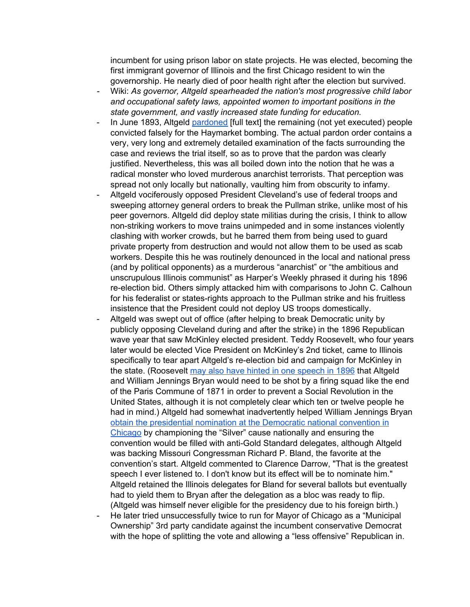incumbent for using prison labor on state projects. He was elected, becoming the first immigrant governor of Illinois and the first Chicago resident to win the governorship. He nearly died of poor health right after the election but survived.

- *-* Wiki: *As governor, Altgeld spearheaded the nation's most progressive child labor and occupational safety laws, appointed women to important positions in the state government, and vastly increased state funding for education.*
- In June 1893, Altgeld [pardoned](http://law2.umkc.edu/faculty/projects/ftrials/haymarket/pardon.html) [full text] the remaining (not yet executed) people convicted falsely for the Haymarket bombing. The actual pardon order contains a very, very long and extremely detailed examination of the facts surrounding the case and reviews the trial itself, so as to prove that the pardon was clearly justified. Nevertheless, this was all boiled down into the notion that he was a radical monster who loved murderous anarchist terrorists. That perception was spread not only locally but nationally, vaulting him from obscurity to infamy.
- Altgeld vociferously opposed President Cleveland's use of federal troops and sweeping attorney general orders to break the Pullman strike, unlike most of his peer governors. Altgeld did deploy state militias during the crisis, I think to allow non-striking workers to move trains unimpeded and in some instances violently clashing with worker crowds, but he barred them from being used to guard private property from destruction and would not allow them to be used as scab workers. Despite this he was routinely denounced in the local and national press (and by political opponents) as a murderous "anarchist" or "the ambitious and unscrupulous Illinois communist" as Harper's Weekly phrased it during his 1896 re-election bid. Others simply attacked him with comparisons to John C. Calhoun for his federalist or states-rights approach to the Pullman strike and his fruitless insistence that the President could not deploy US troops domestically.
- Altgeld was swept out of office (after helping to break Democratic unity by publicly opposing Cleveland during and after the strike) in the 1896 Republican wave year that saw McKinley elected president. Teddy Roosevelt, who four years later would be elected Vice President on McKinley's 2nd ticket, came to Illinois specifically to tear apart Altgeld's re-election bid and campaign for McKinley in the state. (Roosevelt may also have hinted in one [speech](https://books.google.com/books?id=d07IME-ezzQC&pg=PA386&lpg=PA386&dq=The+sentiment+now+animating+a+large+proportion+of+our+people+can+only+be+suppressed,+as+the+Commune+of+Paris+was+suppressed,+by+taking+ten+or+a+dozen+of+its+leaders+out,+standing...+them+against+a+wall,+and+shooting+them+dead.+I+believe+it+will+come+to+that.&source=bl&ots=pVuTmQNy1U&sig=ACfU3U0nj06-3htawkYbQo-0co0FFg9sfg&hl=en&sa=X&ved=2ahUKEwjiocujkbbqAhWhmuAKHaP4BqAQ6AEwAHoECAsQAQ#v=onepage&q=The%20sentiment%20now%20animating%20a%20large%20proportion%20of%20our%20people%20can%20only%20be%20suppressed%2C%20as%20the%20Commune%20of%20Paris%20was%20suppressed%2C%20by%20taking%20ten%20or%20a%20dozen%20of%20its%20leaders%20out%2C%20standing...%20them%20against%20a%20wall%2C%20and%20shooting%20them%20dead.%20I%20believe%20it%20will%20come%20to%20that.&f=false) in 1896 that Altgeld and William Jennings Bryan would need to be shot by a firing squad like the end of the Paris Commune of 1871 in order to prevent a Social Revolution in the United States, although it is not completely clear which ten or twelve people he had in mind.) Altgeld had somewhat inadvertently helped William Jennings Bryan obtain the [presidential](https://en.wikipedia.org/wiki/William_Jennings_Bryan_1896_presidential_campaign) nomination at the Democratic national convention in [Chicago](https://en.wikipedia.org/wiki/William_Jennings_Bryan_1896_presidential_campaign) by championing the "Silver" cause nationally and ensuring the convention would be filled with anti-Gold Standard delegates, although Altgeld was backing Missouri Congressman Richard P. Bland, the favorite at the convention's start. Altgeld commented to Clarence Darrow, "That is the greatest speech I ever listened to. I don't know but its effect will be to nominate him." Altgeld retained the Illinois delegates for Bland for several ballots but eventually had to yield them to Bryan after the delegation as a bloc was ready to flip. (Altgeld was himself never eligible for the presidency due to his foreign birth.)
- He later tried unsuccessfully twice to run for Mayor of Chicago as a "Municipal" Ownership" 3rd party candidate against the incumbent conservative Democrat with the hope of splitting the vote and allowing a "less offensive" Republican in.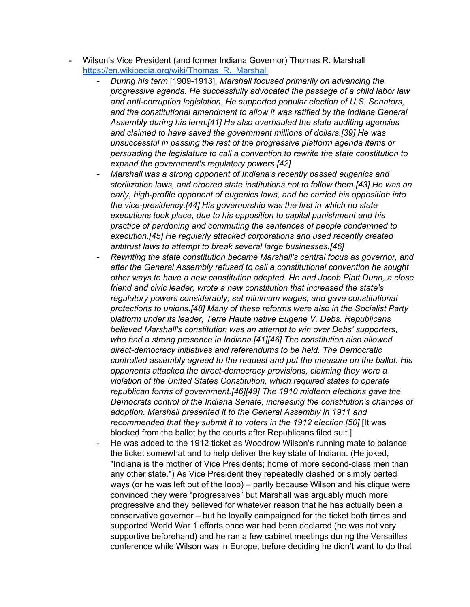- Wilson's Vice President (and former Indiana Governor) Thomas R. Marshall https://en.wikipedia.org/wiki/Thomas\_R. Marshall
	- *- During his term* [1909-1913]*, Marshall focused primarily on advancing the progressive agenda. He successfully advocated the passage of a child labor law and anti-corruption legislation. He supported popular election of U.S. Senators, and the constitutional amendment to allow it was ratified by the Indiana General Assembly during his term.[41] He also overhauled the state auditing agencies and claimed to have saved the government millions of dollars.[39] He was unsuccessful in passing the rest of the progressive platform agenda items or persuading the legislature to call a convention to rewrite the state constitution to expand the government's regulatory powers.[42]*
	- *- Marshall was a strong opponent of Indiana's recently passed eugenics and sterilization laws, and ordered state institutions not to follow them.[43] He was an early, high-profile opponent of eugenics laws, and he carried his opposition into the vice-presidency.[44] His governorship was the first in which no state executions took place, due to his opposition to capital punishment and his practice of pardoning and commuting the sentences of people condemned to execution.[45] He regularly attacked corporations and used recently created antitrust laws to attempt to break several large businesses.[46]*
	- *Rewriting the state constitution became Marshall's central focus as governor, and after the General Assembly refused to call a constitutional convention he sought other ways to have a new constitution adopted. He and Jacob Piatt Dunn, a close friend and civic leader, wrote a new constitution that increased the state's regulatory powers considerably, set minimum wages, and gave constitutional protections to unions.[48] Many of these reforms were also in the Socialist Party platform under its leader, Terre Haute native Eugene V. Debs. Republicans believed Marshall's constitution was an attempt to win over Debs' supporters, who had a strong presence in Indiana.[41][46] The constitution also allowed direct-democracy initiatives and referendums to be held. The Democratic controlled assembly agreed to the request and put the measure on the ballot. His opponents attacked the direct-democracy provisions, claiming they were a violation of the United States Constitution, which required states to operate republican forms of government.[46][49] The 1910 midterm elections gave the Democrats control of the Indiana Senate, increasing the constitution's chances of adoption. Marshall presented it to the General Assembly in 1911 and recommended that they submit it to voters in the 1912 election.[50]* [It was blocked from the ballot by the courts after Republicans filed suit.]
	- He was added to the 1912 ticket as Woodrow Wilson's running mate to balance the ticket somewhat and to help deliver the key state of Indiana. (He joked, "Indiana is the mother of Vice Presidents; home of more second-class men than any other state.") As Vice President they repeatedly clashed or simply parted ways (or he was left out of the loop) – partly because Wilson and his clique were convinced they were "progressives" but Marshall was arguably much more progressive and they believed for whatever reason that he has actually been a conservative governor – but he loyally campaigned for the ticket both times and supported World War 1 efforts once war had been declared (he was not very supportive beforehand) and he ran a few cabinet meetings during the Versailles conference while Wilson was in Europe, before deciding he didn't want to do that